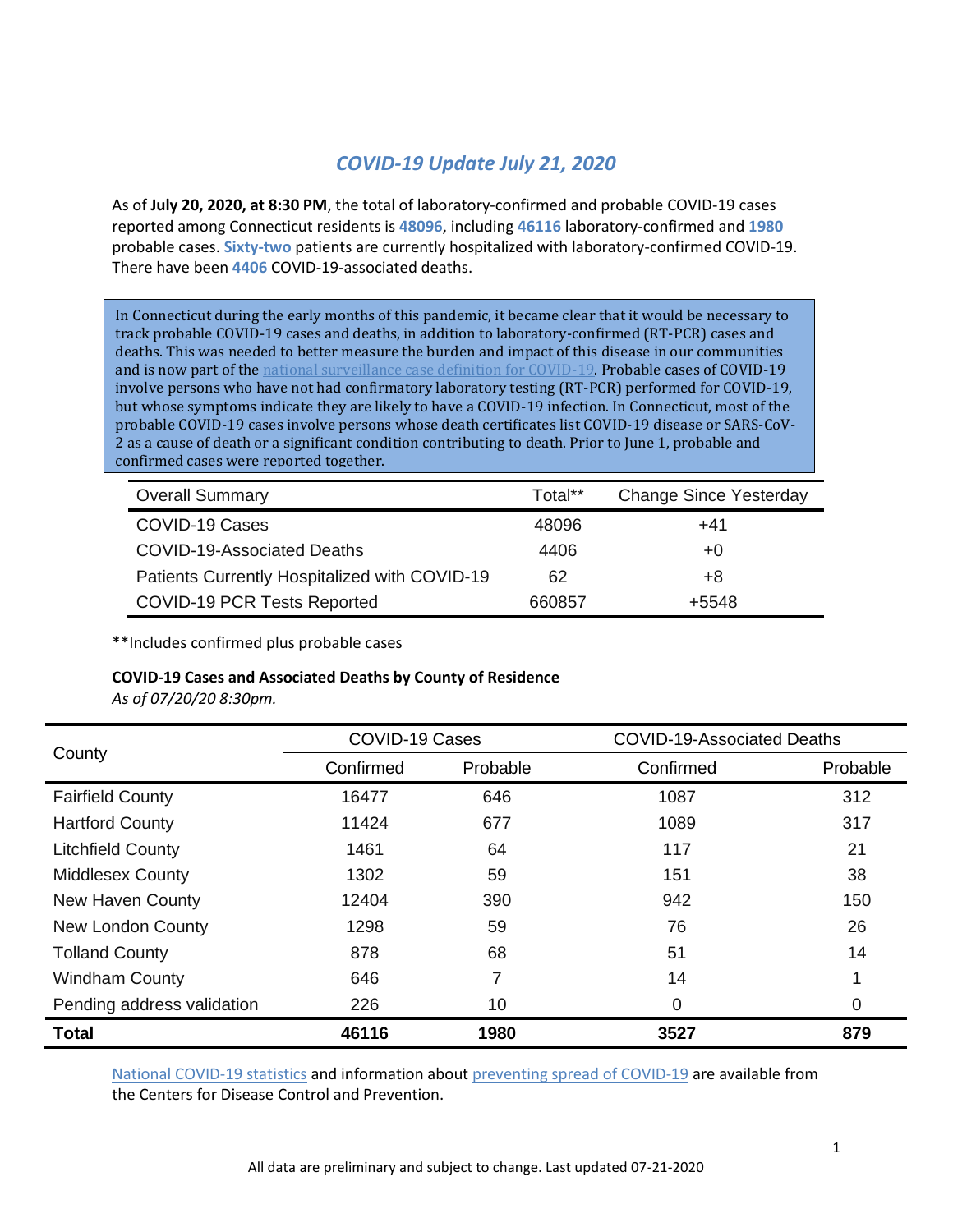## *COVID-19 Update July 21, 2020*

As of **July 20, 2020, at 8:30 PM**, the total of laboratory-confirmed and probable COVID-19 cases reported among Connecticut residents is **48096**, including **46116** laboratory-confirmed and **1980** probable cases. **Sixty-two** patients are currently hospitalized with laboratory-confirmed COVID-19. There have been **4406** COVID-19-associated deaths.

In Connecticut during the early months of this pandemic, it became clear that it would be necessary to track probable COVID-19 cases and deaths, in addition to laboratory-confirmed (RT-PCR) cases and deaths. This was needed to better measure the burden and impact of this disease in our communities and is now part of the [national surveillance case definition for COVID-19.](https://www.cdc.gov/coronavirus/2019-ncov/covid-data/faq-surveillance.html) Probable cases of COVID-19 involve persons who have not had confirmatory laboratory testing (RT-PCR) performed for COVID-19, but whose symptoms indicate they are likely to have a COVID-19 infection. In Connecticut, most of the probable COVID-19 cases involve persons whose death certificates list COVID-19 disease or SARS-CoV-2 as a cause of death or a significant condition contributing to death. Prior to June 1, probable and confirmed cases were reported together.

| <b>Overall Summary</b>                        | Total** | <b>Change Since Yesterday</b> |
|-----------------------------------------------|---------|-------------------------------|
| COVID-19 Cases                                | 48096   | $+41$                         |
| COVID-19-Associated Deaths                    | 4406    | $+0$                          |
| Patients Currently Hospitalized with COVID-19 | 62      | +8                            |
| COVID-19 PCR Tests Reported                   | 660857  | +5548                         |

\*\*Includes confirmed plus probable cases

#### **COVID-19 Cases and Associated Deaths by County of Residence**

*As of 07/20/20 8:30pm.*

|                            | <b>COVID-19 Cases</b> |          | <b>COVID-19-Associated Deaths</b> |          |  |
|----------------------------|-----------------------|----------|-----------------------------------|----------|--|
| County                     | Confirmed             | Probable | Confirmed                         | Probable |  |
| <b>Fairfield County</b>    | 16477                 | 646      | 1087                              | 312      |  |
| <b>Hartford County</b>     | 11424                 | 677      | 1089                              | 317      |  |
| <b>Litchfield County</b>   | 1461                  | 64       | 117                               | 21       |  |
| <b>Middlesex County</b>    | 1302                  | 59       | 151                               | 38       |  |
| New Haven County           | 12404                 | 390      | 942                               | 150      |  |
| <b>New London County</b>   | 1298                  | 59       | 76                                | 26       |  |
| <b>Tolland County</b>      | 878                   | 68       | 51                                | 14       |  |
| <b>Windham County</b>      | 646                   | 7        | 14                                | 1        |  |
| Pending address validation | 226                   | 10       | 0                                 | 0        |  |
| <b>Total</b>               | 46116                 | 1980     | 3527                              | 879      |  |

[National COVID-19 statistics](https://www.cdc.gov/coronavirus/2019-ncov/cases-updates/cases-in-us.html) and information abou[t preventing spread](https://www.cdc.gov/coronavirus/2019-ncov/prevent-getting-sick/prevention.html) of COVID-19 are available from the Centers for Disease Control and Prevention.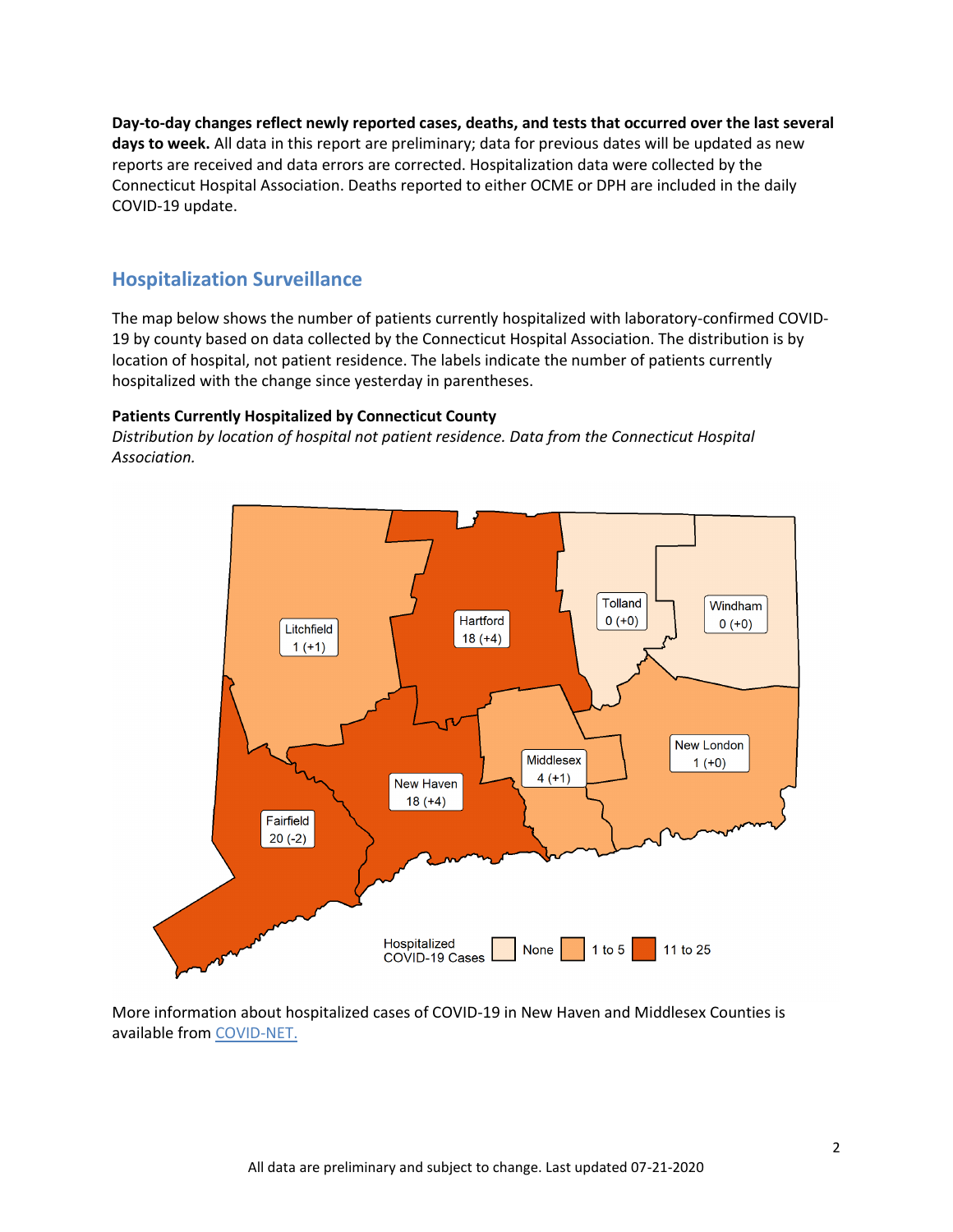**Day-to-day changes reflect newly reported cases, deaths, and tests that occurred over the last several days to week.** All data in this report are preliminary; data for previous dates will be updated as new reports are received and data errors are corrected. Hospitalization data were collected by the Connecticut Hospital Association. Deaths reported to either OCME or DPH are included in the daily COVID-19 update.

## **Hospitalization Surveillance**

The map below shows the number of patients currently hospitalized with laboratory-confirmed COVID-19 by county based on data collected by the Connecticut Hospital Association. The distribution is by location of hospital, not patient residence. The labels indicate the number of patients currently hospitalized with the change since yesterday in parentheses.

#### **Patients Currently Hospitalized by Connecticut County**

*Distribution by location of hospital not patient residence. Data from the Connecticut Hospital Association.*



More information about hospitalized cases of COVID-19 in New Haven and Middlesex Counties is available from [COVID-NET.](https://gis.cdc.gov/grasp/COVIDNet/COVID19_3.html)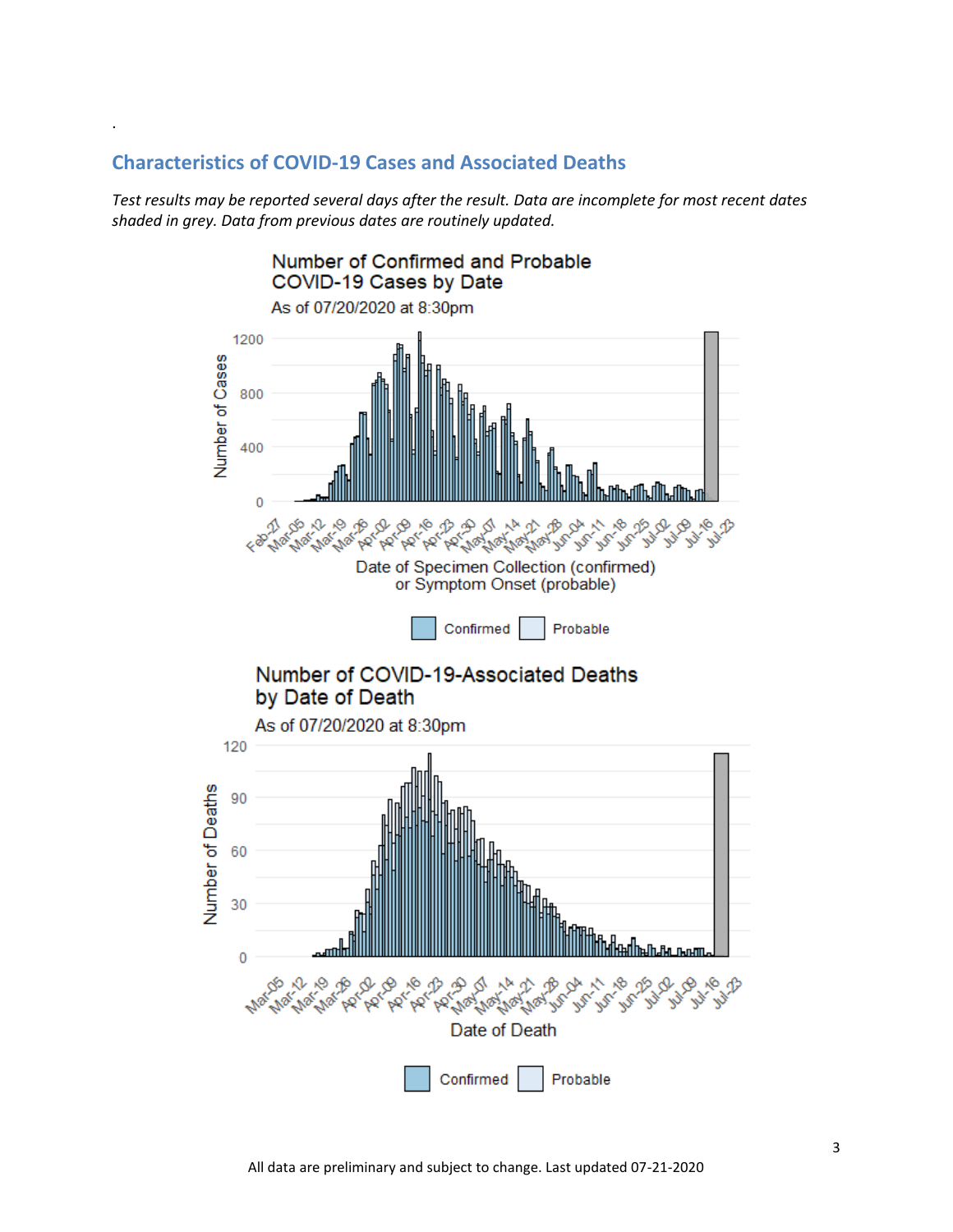## **Characteristics of COVID-19 Cases and Associated Deaths**

.

*Test results may be reported several days after the result. Data are incomplete for most recent dates shaded in grey. Data from previous dates are routinely updated.*

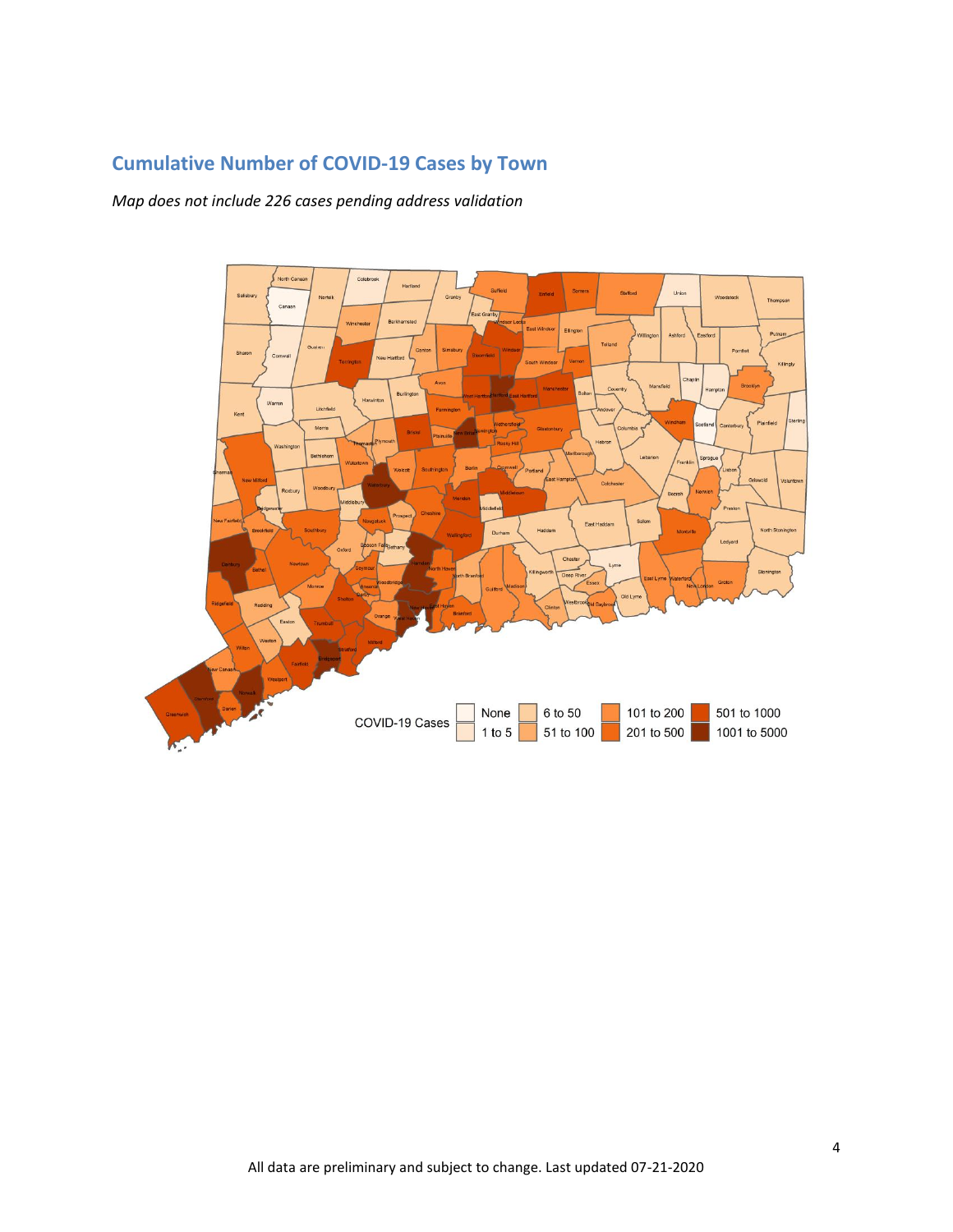# **Cumulative Number of COVID-19 Cases by Town**

*Map does not include 226 cases pending address validation*

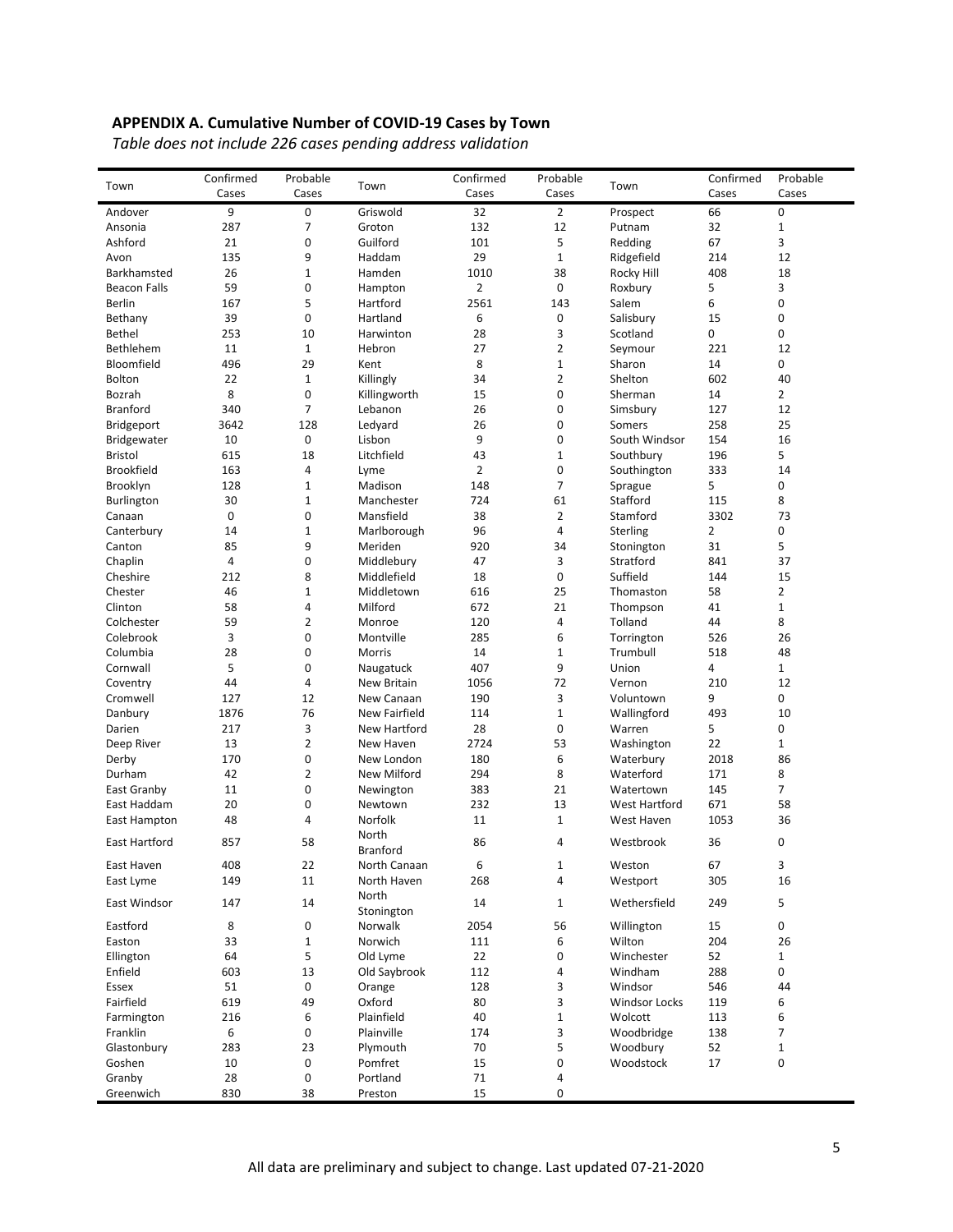## **APPENDIX A. Cumulative Number of COVID-19 Cases by Town**

*Table does not include 226 cases pending address validation*

| Town                | Confirmed   | Probable            | Town                    | Confirmed      | Probable       | Town                    | Confirmed | Probable       |
|---------------------|-------------|---------------------|-------------------------|----------------|----------------|-------------------------|-----------|----------------|
|                     | Cases       | Cases               |                         | Cases          | Cases          |                         | Cases     | Cases          |
| Andover             | 9           | 0                   | Griswold                | 32             | $\overline{2}$ | Prospect                | 66        | $\mathbf 0$    |
| Ansonia             | 287         | 7                   | Groton                  | 132            | 12             | Putnam                  | 32        | $\mathbf{1}$   |
| Ashford             | 21          | 0                   | Guilford                | 101            | 5              | Redding                 | 67        | 3              |
| Avon                | 135         | 9                   | Haddam                  | 29             | $1\,$          | Ridgefield              | 214       | 12             |
| Barkhamsted         | 26          | $1\,$               | Hamden                  | 1010           | 38             | Rocky Hill              | 408       | 18             |
| <b>Beacon Falls</b> | 59          | 0                   | Hampton                 | $\overline{2}$ | 0              | Roxbury                 | 5         | 3              |
| <b>Berlin</b>       | 167         | 5                   | Hartford                | 2561           | 143            | Salem                   | 6         | 0              |
| Bethany             | 39          | 0                   | Hartland                | 6              | 0              | Salisbury<br>Scotland   | 15        | 0              |
| Bethel<br>Bethlehem | 253<br>11   | 10<br>$\mathbf{1}$  | Harwinton<br>Hebron     | 28<br>27       | 3<br>2         |                         | 0<br>221  | 0<br>12        |
| Bloomfield          | 496         | 29                  | Kent                    | 8              | $\mathbf 1$    | Seymour<br>Sharon       | 14        | 0              |
| <b>Bolton</b>       | 22          | $\mathbf{1}$        | Killingly               | 34             | 2              | Shelton                 | 602       | 40             |
| Bozrah              | 8           | 0                   | Killingworth            | 15             | 0              | Sherman                 | 14        | $\overline{2}$ |
| <b>Branford</b>     | 340         | 7                   | Lebanon                 | 26             | 0              | Simsbury                | 127       | 12             |
| <b>Bridgeport</b>   | 3642        | 128                 | Ledyard                 | 26             | 0              | Somers                  | 258       | 25             |
| <b>Bridgewater</b>  | 10          | 0                   | Lisbon                  | 9              | 0              | South Windsor           | 154       | 16             |
| <b>Bristol</b>      | 615         | 18                  | Litchfield              | 43             | $\mathbf 1$    | Southbury               | 196       | 5              |
| <b>Brookfield</b>   | 163         | 4                   | Lyme                    | 2              | 0              | Southington             | 333       | 14             |
| Brooklyn            | 128         | 1                   | Madison                 | 148            | 7              | Sprague                 | 5         | 0              |
| Burlington          | 30          | $\mathbf{1}$        | Manchester              | 724            | 61             | Stafford                | 115       | 8              |
| Canaan              | $\mathbf 0$ | 0                   | Mansfield               | 38             | $\overline{2}$ | Stamford                | 3302      | 73             |
| Canterbury          | 14          | $1\,$               | Marlborough             | 96             | 4              | Sterling                | 2         | 0              |
| Canton              | 85          | 9                   | Meriden                 | 920            | 34             | Stonington              | 31        | 5              |
| Chaplin             | 4           | 0                   | Middlebury              | 47             | 3              | Stratford               | 841       | 37             |
| Cheshire            | 212         | 8                   | Middlefield             | 18             | 0              | Suffield                | 144       | 15             |
| Chester             | 46          | $\mathbf 1$         | Middletown              | 616            | 25             | Thomaston               | 58        | $\overline{2}$ |
| Clinton             | 58          | 4                   | Milford                 | 672            | 21             | Thompson                | 41        | 1              |
| Colchester          | 59          | $\overline{2}$      | Monroe                  | 120            | 4              | Tolland                 | 44        | 8              |
| Colebrook           | 3           | 0                   | Montville               | 285            | 6              | Torrington              | 526       | 26             |
| Columbia            | 28          | 0                   | Morris                  | 14             | $\mathbf 1$    | Trumbull                | 518       | 48             |
| Cornwall            | 5           | 0                   | Naugatuck               | 407            | 9              | Union                   | 4         | 1              |
| Coventry            | 44          | 4                   | New Britain             | 1056           | 72             | Vernon                  | 210       | 12             |
| Cromwell            | 127         | 12                  | New Canaan              | 190            | 3              | Voluntown               | 9         | 0              |
| Danbury             | 1876        | 76                  | New Fairfield           | 114            | $\mathbf 1$    | Wallingford             | 493       | 10             |
| Darien              | 217<br>13   | 3                   | New Hartford            | 28             | 0<br>53        | Warren                  | 5<br>22   | 0              |
| Deep River<br>Derby | 170         | $\overline{2}$<br>0 | New Haven<br>New London | 2724<br>180    | 6              | Washington<br>Waterbury | 2018      | 1<br>86        |
| Durham              | 42          | 2                   | New Milford             | 294            | 8              | Waterford               | 171       | 8              |
| East Granby         | 11          | 0                   | Newington               | 383            | 21             | Watertown               | 145       | $\overline{7}$ |
| East Haddam         | 20          | 0                   | Newtown                 | 232            | 13             | West Hartford           | 671       | 58             |
| East Hampton        | 48          | 4                   | Norfolk                 | 11             | $\mathbf{1}$   | West Haven              | 1053      | 36             |
|                     |             |                     | North                   |                |                |                         |           |                |
| East Hartford       | 857         | 58                  | <b>Branford</b>         | 86             | 4              | Westbrook               | 36        | $\mathbf 0$    |
| East Haven          | 408         | 22                  | North Canaan            | 6              | $\mathbf 1$    | Weston                  | 67        | 3              |
| East Lyme           | 149         | 11                  | North Haven             | 268            | 4              | Westport                | 305       | 16             |
|                     |             |                     | North                   |                |                |                         |           |                |
| East Windsor        | 147         | 14                  | Stonington              | 14             | $\mathbf{1}$   | Wethersfield            | 249       | 5              |
| Eastford            | 8           | 0                   | Norwalk                 | 2054           | 56             | Willington              | 15        | 0              |
| Easton              | 33          | 1                   | Norwich                 | 111            | 6              | Wilton                  | 204       | 26             |
| Ellington           | 64          | 5                   | Old Lyme                | 22             | 0              | Winchester              | 52        | 1              |
| Enfield             | 603         | 13                  | Old Saybrook            | 112            | 4              | Windham                 | 288       | 0              |
| Essex               | 51          | 0                   | Orange                  | 128            | 3              | Windsor                 | 546       | 44             |
| Fairfield           | 619         | 49                  | Oxford                  | 80             | 3              | Windsor Locks           | 119       | 6              |
| Farmington          | 216         | 6                   | Plainfield              | 40             | 1              | Wolcott                 | 113       | 6              |
| Franklin            | 6           | 0                   | Plainville              | 174            | 3              | Woodbridge              | 138       | 7              |
| Glastonbury         | 283         | 23                  | Plymouth                | 70             | 5              | Woodbury                | 52        | $\mathbf{1}$   |
| Goshen              | 10          | 0                   | Pomfret                 | 15             | 0              | Woodstock               | 17        | 0              |
| Granby              | 28          | 0                   | Portland                | 71             | 4              |                         |           |                |
| Greenwich           | 830         | 38                  | Preston                 | 15             | 0              |                         |           |                |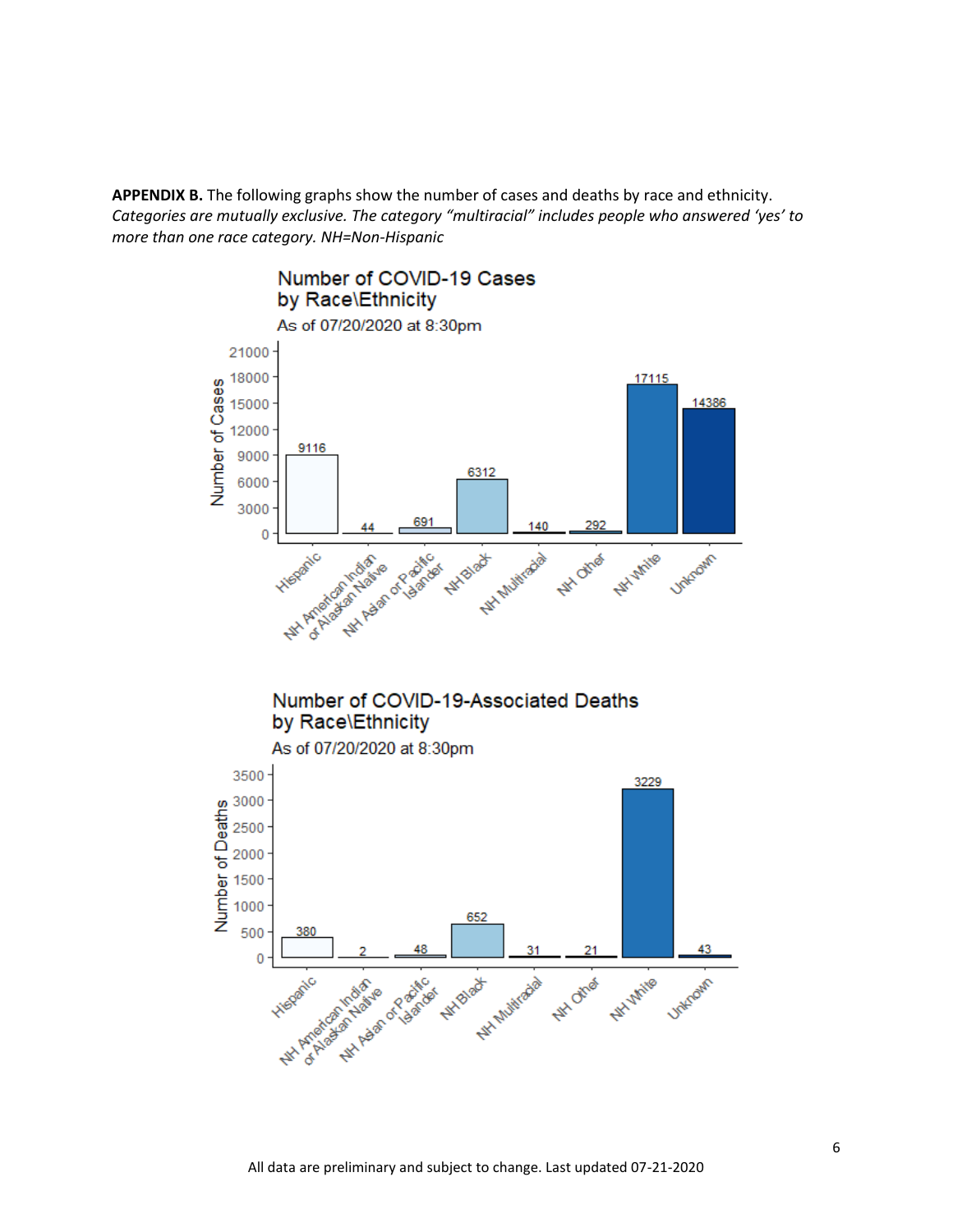**APPENDIX B.** The following graphs show the number of cases and deaths by race and ethnicity. *Categories are mutually exclusive. The category "multiracial" includes people who answered 'yes' to more than one race category. NH=Non-Hispanic*